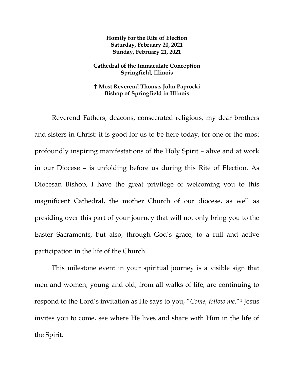**Homily for the Rite of Election Saturday, February 20, 2021 Sunday, February 21, 2021**

## **Cathedral of the Immaculate Conception Springfield, Illinois**

## **Most Reverend Thomas John Paprocki Bishop of Springfield in Illinois**

Reverend Fathers, deacons, consecrated religious, my dear brothers and sisters in Christ: it is good for us to be here today, for one of the most profoundly inspiring manifestations of the Holy Spirit – alive and at work in our Diocese – is unfolding before us during this Rite of Election. As Diocesan Bishop, I have the great privilege of welcoming you to this magnificent Cathedral, the mother Church of our diocese, as well as presiding over this part of your journey that will not only bring you to the Easter Sacraments, but also, through God's grace, to a full and active participation in the life of the Church.

This milestone event in your spiritual journey is a visible sign that men and women, young and old, from all walks of life, are continuing to respond to the Lord's invitation as He says to you, "*Come, follow me*."[1](#page-8-0) Jesus invites you to come, see where He lives and share with Him in the life of the Spirit.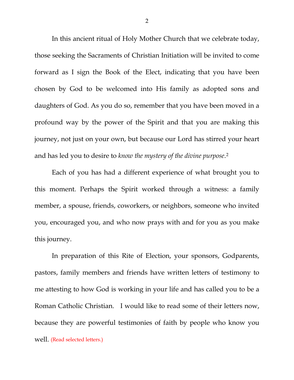In this ancient ritual of Holy Mother Church that we celebrate today, those seeking the Sacraments of Christian Initiation will be invited to come forward as I sign the Book of the Elect, indicating that you have been chosen by God to be welcomed into His family as adopted sons and daughters of God. As you do so, remember that you have been moved in a profound way by the power of the Spirit and that you are making this journey, not just on your own, but because our Lord has stirred your heart and has led you to desire to *know the mystery of the divine purpose*.[2](#page-8-1)

Each of you has had a different experience of what brought you to this moment. Perhaps the Spirit worked through a witness: a family member, a spouse, friends, coworkers, or neighbors, someone who invited you, encouraged you, and who now prays with and for you as you make this journey.

In preparation of this Rite of Election, your sponsors, Godparents, pastors, family members and friends have written letters of testimony to me attesting to how God is working in your life and has called you to be a Roman Catholic Christian. I would like to read some of their letters now, because they are powerful testimonies of faith by people who know you well. (Read selected letters.)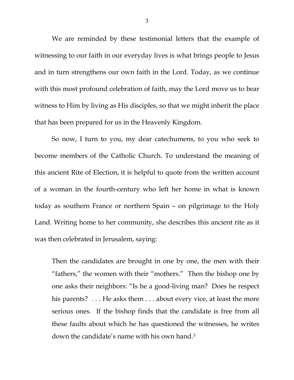We are reminded by these testimonial letters that the example of witnessing to our faith in our everyday lives is what brings people to Jesus and in turn strengthens our own faith in the Lord. Today, as we continue with this most profound celebration of faith, may the Lord move us to bear witness to Him by living as His disciples, so that we might inherit the place that has been prepared for us in the Heavenly Kingdom.

So now, I turn to you, my dear catechumens, to you who seek to become members of the Catholic Church. To understand the meaning of this ancient Rite of Election, it is helpful to quote from the written account of a woman in the fourth-century who left her home in what is known today as southern France or northern Spain – on pilgrimage to the Holy Land. Writing home to her community, she describes this ancient rite as it was then celebrated in Jerusalem, saying:

Then the candidates are brought in one by one, the men with their "fathers," the women with their "mothers." Then the bishop one by one asks their neighbors: "Is he a good-living man? Does he respect his parents? . . . He asks them . . . about every vice, at least the more serious ones. If the bishop finds that the candidate is free from all these faults about which he has questioned the witnesses, he writes down the candidate's name with his own hand.<sup>[3](#page-8-2)</sup>

3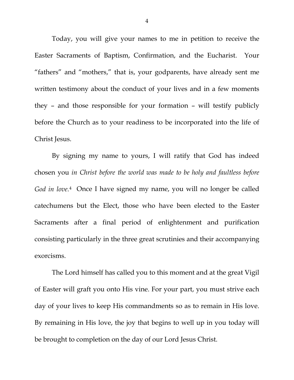Today, you will give your names to me in petition to receive the Easter Sacraments of Baptism, Confirmation, and the Eucharist. Your "fathers" and "mothers," that is, your godparents, have already sent me written testimony about the conduct of your lives and in a few moments they – and those responsible for your formation – will testify publicly before the Church as to your readiness to be incorporated into the life of Christ Jesus.

By signing my name to yours, I will ratify that God has indeed chosen you *in Christ before the world was made to be holy and faultless before God in love.*[4](#page-8-3) Once I have signed my name, you will no longer be called catechumens but the Elect, those who have been elected to the Easter Sacraments after a final period of enlightenment and purification consisting particularly in the three great scrutinies and their accompanying exorcisms.

The Lord himself has called you to this moment and at the great Vigil of Easter will graft you onto His vine. For your part, you must strive each day of your lives to keep His commandments so as to remain in His love. By remaining in His love, the joy that begins to well up in you today will be brought to completion on the day of our Lord Jesus Christ.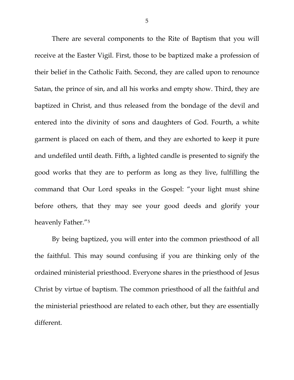There are several components to the Rite of Baptism that you will receive at the Easter Vigil. First, those to be baptized make a profession of their belief in the Catholic Faith. Second, they are called upon to renounce Satan, the prince of sin, and all his works and empty show. Third, they are baptized in Christ, and thus released from the bondage of the devil and entered into the divinity of sons and daughters of God. Fourth, a white garment is placed on each of them, and they are exhorted to keep it pure and undefiled until death. Fifth, a lighted candle is presented to signify the good works that they are to perform as long as they live, fulfilling the command that Our Lord speaks in the Gospel: "your light must shine before others, that they may see your good deeds and glorify your heavenly Father."[5](#page-8-4)

By being baptized, you will enter into the common priesthood of all the faithful. This may sound confusing if you are thinking only of the ordained ministerial priesthood. Everyone shares in the priesthood of Jesus Christ by virtue of baptism. The common priesthood of all the faithful and the ministerial priesthood are related to each other, but they are essentially different.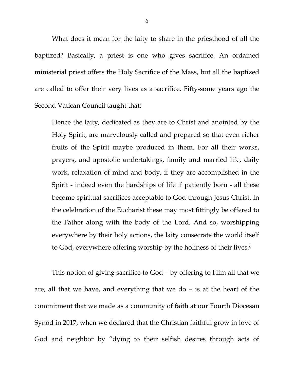What does it mean for the laity to share in the priesthood of all the baptized? Basically, a priest is one who gives sacrifice. An ordained ministerial priest offers the Holy Sacrifice of the Mass, but all the baptized are called to offer their very lives as a sacrifice. Fifty-some years ago the Second Vatican Council taught that:

Hence the laity, dedicated as they are to Christ and anointed by the Holy Spirit, are marvelously called and prepared so that even richer fruits of the Spirit maybe produced in them. For all their works, prayers, and apostolic undertakings, family and married life, daily work, relaxation of mind and body, if they are accomplished in the Spirit - indeed even the hardships of life if patiently born - all these become spiritual sacrifices acceptable to God through Jesus Christ. In the celebration of the Eucharist these may most fittingly be offered to the Father along with the body of the Lord. And so, worshipping everywhere by their holy actions, the laity consecrate the world itself to God, everywhere offering worship by the holiness of their lives.<sup>[6](#page-8-5)</sup>

This notion of giving sacrifice to God – by offering to Him all that we are, all that we have, and everything that we do – is at the heart of the commitment that we made as a community of faith at our Fourth Diocesan Synod in 2017, when we declared that the Christian faithful grow in love of God and neighbor by "dying to their selfish desires through acts of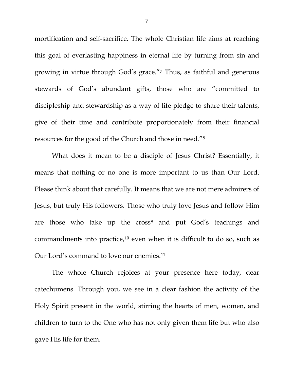mortification and self-sacrifice. The whole Christian life aims at reaching this goal of everlasting happiness in eternal life by turning from sin and growing in virtue through God's grace.["7](#page-8-6) Thus, as faithful and generous stewards of God's abundant gifts, those who are "committed to discipleship and stewardship as a way of life pledge to share their talents, give of their time and contribute proportionately from their financial resources for the good of the Church and those in need."[8](#page-8-7)

What does it mean to be a disciple of Jesus Christ? Essentially, it means that nothing or no one is more important to us than Our Lord. Please think about that carefully. It means that we are not mere admirers of Jesus, but truly His followers. Those who truly love Jesus and follow Him are those who take up the cross<sup>[9](#page-8-8)</sup> and put God's teachings and commandments into practice, $10$  even when it is difficult to do so, such as Our Lord's command to love our enemies.<sup>[11](#page-8-10)</sup>

The whole Church rejoices at your presence here today, dear catechumens. Through you, we see in a clear fashion the activity of the Holy Spirit present in the world, stirring the hearts of men, women, and children to turn to the One who has not only given them life but who also gave His life for them.

7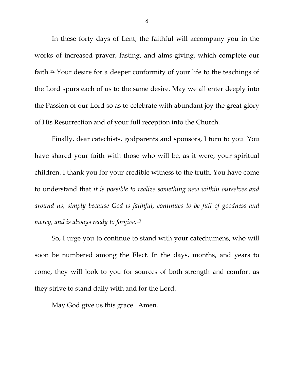In these forty days of Lent, the faithful will accompany you in the works of increased prayer, fasting, and alms-giving, which complete our faith.[12](#page-8-11) Your desire for a deeper conformity of your life to the teachings of the Lord spurs each of us to the same desire. May we all enter deeply into the Passion of our Lord so as to celebrate with abundant joy the great glory of His Resurrection and of your full reception into the Church.

Finally, dear catechists, godparents and sponsors, I turn to you. You have shared your faith with those who will be, as it were, your spiritual children. I thank you for your credible witness to the truth. You have come to understand that *it is possible to realize something new within ourselves and around us, simply because God is faithful, continues to be full of goodness and mercy, and is always ready to forgive.*[13](#page-8-12)

So, I urge you to continue to stand with your catechumens, who will soon be numbered among the Elect. In the days, months, and years to come, they will look to you for sources of both strength and comfort as they strive to stand daily with and for the Lord.

May God give us this grace. Amen.